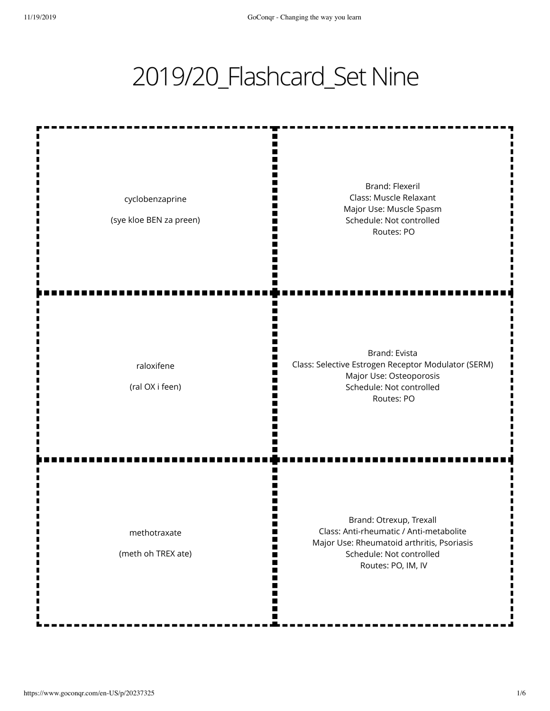## 2019/20\_Flashcard\_Set Nine

ш m Ш I٢ Brand: Flexeril Class: Muscle Relaxant cyclobenzaprine Major Use: Muscle Spasm W (sye kloe BEN za preen) Schedule: Not controlled m M Routes: PO m Brand: Evista Class: Selective Estrogen Receptor Modulator (SERM) raloxifene Major Use: Osteoporosis M (ral OX i feen) Schedule: Not controlled Routes: PO ш Brand: Otrexup, Trexall Class: Anti-rheumatic / Anti-metabolite methotraxate m Major Use: Rheumatoid arthritis, Psoriasis (meth oh TREX ate) Schedule: Not controlled H m Routes: PO, IM, IV M M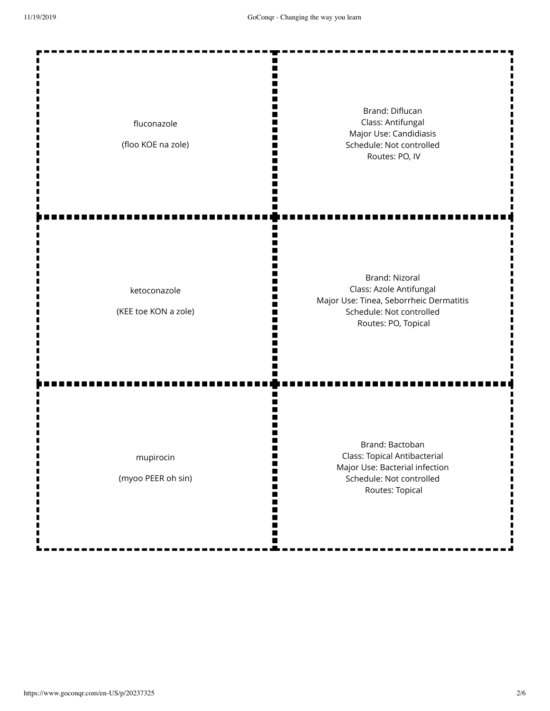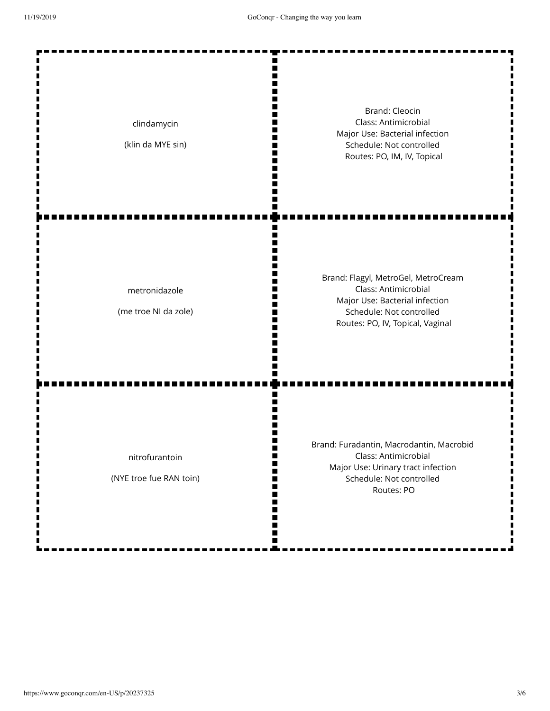| clindamycin<br>(klin da MYE sin)          | <b>Brand: Cleocin</b><br>Class: Antimicrobial<br>Major Use: Bacterial infection<br>Schedule: Not controlled<br>Routes: PO, IM, IV, Topical                    |
|-------------------------------------------|---------------------------------------------------------------------------------------------------------------------------------------------------------------|
| metronidazole<br>(me troe NI da zole)     | Brand: Flagyl, MetroGel, MetroCream<br>Class: Antimicrobial<br>Major Use: Bacterial infection<br>Schedule: Not controlled<br>Routes: PO, IV, Topical, Vaginal |
| nitrofurantoin<br>(NYE troe fue RAN toin) | Brand: Furadantin, Macrodantin, Macrobid<br>Class: Antimicrobial<br>Major Use: Urinary tract infection<br>Schedule: Not controlled<br>Routes: PO              |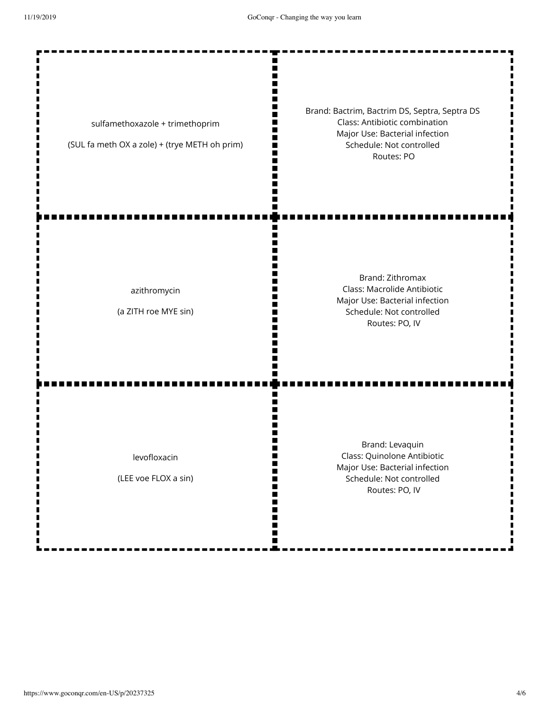Ш П п  $\blacksquare$ ш

W m Ш II. n<br>II

m

Ш п ш

ш п m Ш

Ш

m

П П II. П m Ш п ш

sulfamethoxazole + trimethoprim

(SUL fa meth OX a zole) + (trye METH oh prim)

Brand: Bactrim, Bactrim DS, Septra, Septra DS Class: Antibiotic combination Major Use: Bacterial infection Schedule: Not controlled Routes: PO

azithromycin

(a ZITH roe MYE sin)

Brand: Zithromax Class: Macrolide Antibiotic Major Use: Bacterial infection Schedule: Not controlled Routes: PO, IV

levofloxacin

(LEE voe FLOX a sin)

Brand: Levaquin Class: Quinolone Antibiotic Major Use: Bacterial infection Schedule: Not controlled Routes: PO, IV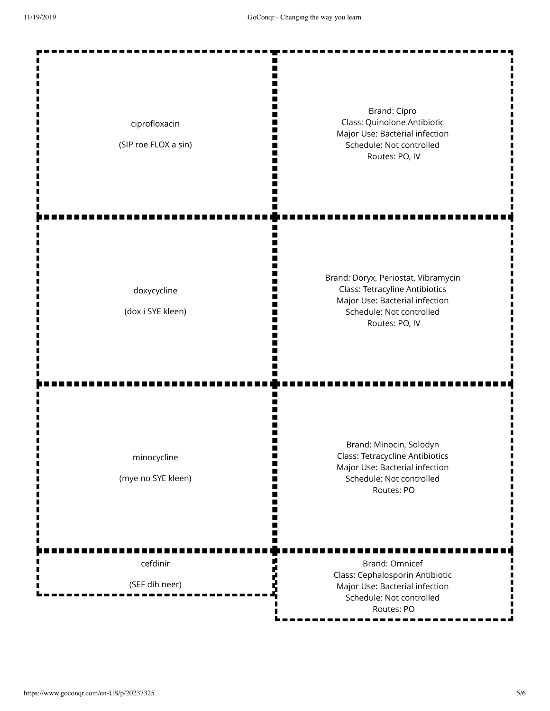